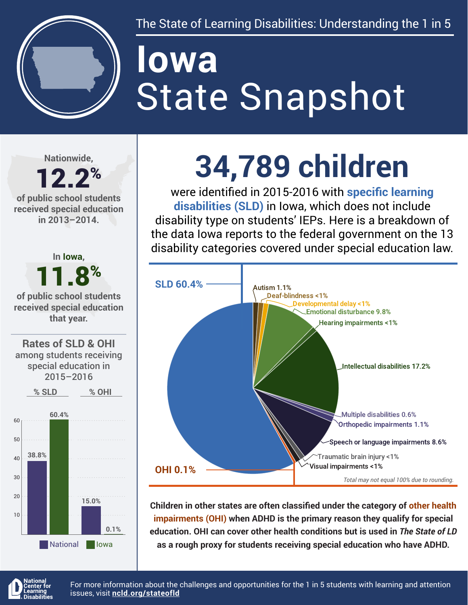

The State of Learning Disabilities: Understanding the 1 in 5

# State Snapshot **Iowa**

**Nationwide,**

### 12.2% **of public school students**

**received special education in 2013–2014.**



# **34,789 children**

were identified in 2015-2016 with **specific learning disabilities (SLD)** in Iowa, which does not include disability type on students' IEPs. Here is a breakdown of the data Iowa reports to the federal government on the 13 disability categories covered under special education law.



**Children in other states are often classified under the category of other health impairments (OHI) when ADHD is the primary reason they qualify for special education. OHI can cover other health conditions but is used in** *The State of LD*  **as a rough proxy for students receiving special education who have ADHD.**